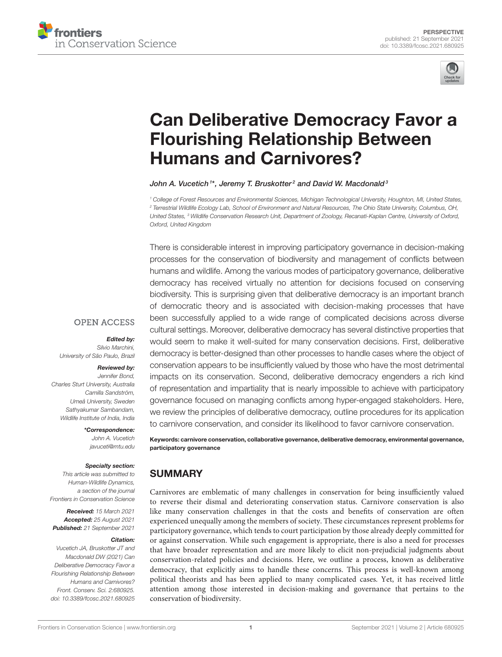



# [Can Deliberative Democracy Favor a](https://www.frontiersin.org/articles/10.3389/fcosc.2021.680925/full) Flourishing Relationship Between Humans and Carnivores?

### John A. Vucetich $^{1*}$ , Jeremy T. Bruskotter $^{2}$  and David W. Macdonald $^{3}$

<sup>1</sup> College of Forest Resources and Environmental Sciences, Michigan Technological University, Houghton, MI, United States, <sup>2</sup> Terrestrial Wildlife Ecology Lab, School of Environment and Natural Resources, The Ohio State University, Columbus, OH, United States, <sup>3</sup> Wildlife Conservation Research Unit, Department of Zoology, Recanati-Kaplan Centre, University of Oxford, Oxford, United Kingdom

There is considerable interest in improving participatory governance in decision-making processes for the conservation of biodiversity and management of conflicts between humans and wildlife. Among the various modes of participatory governance, deliberative democracy has received virtually no attention for decisions focused on conserving biodiversity. This is surprising given that deliberative democracy is an important branch of democratic theory and is associated with decision-making processes that have been successfully applied to a wide range of complicated decisions across diverse cultural settings. Moreover, deliberative democracy has several distinctive properties that would seem to make it well-suited for many conservation decisions. First, deliberative democracy is better-designed than other processes to handle cases where the object of conservation appears to be insufficiently valued by those who have the most detrimental impacts on its conservation. Second, deliberative democracy engenders a rich kind of representation and impartiality that is nearly impossible to achieve with participatory governance focused on managing conflicts among hyper-engaged stakeholders. Here, we review the principles of deliberative democracy, outline procedures for its application to carnivore conservation, and consider its likelihood to favor carnivore conservation.

Keywords: carnivore conservation, collaborative governance, deliberative democracy, environmental governance, participatory governance

# SUMMARY

Carnivores are emblematic of many challenges in conservation for being insufficiently valued to reverse their dismal and deteriorating conservation status. Carnivore conservation is also like many conservation challenges in that the costs and benefits of conservation are often experienced unequally among the members of society. These circumstances represent problems for participatory governance, which tends to court participation by those already deeply committed for or against conservation. While such engagement is appropriate, there is also a need for processes that have broader representation and are more likely to elicit non-prejudicial judgments about conservation-related policies and decisions. Here, we outline a process, known as deliberative democracy, that explicitly aims to handle these concerns. This process is well-known among political theorists and has been applied to many complicated cases. Yet, it has received little attention among those interested in decision-making and governance that pertains to the conservation of biodiversity.

### **OPEN ACCESS**

### Edited by:

Silvio Marchini, University of São Paulo, Brazil

### Reviewed by:

Jennifer Bond, Charles Sturt University, Australia Camilla Sandström, Umeå University, Sweden Sathyakumar Sambandam, Wildlife Institute of India, India

### \*Correspondence:

John A. Vucetich [javuceti@mtu.edu](mailto:javuceti@mtu.edu)

#### Specialty section:

This article was submitted to Human-Wildlife Dynamics, a section of the journal Frontiers in Conservation Science

Received: 15 March 2021 Accepted: 25 August 2021 Published: 21 September 2021

#### Citation:

Vucetich JA, Bruskotter JT and Macdonald DW (2021) Can Deliberative Democracy Favor a Flourishing Relationship Between Humans and Carnivores? Front. Conserv. Sci. 2:680925. doi: [10.3389/fcosc.2021.680925](https://doi.org/10.3389/fcosc.2021.680925)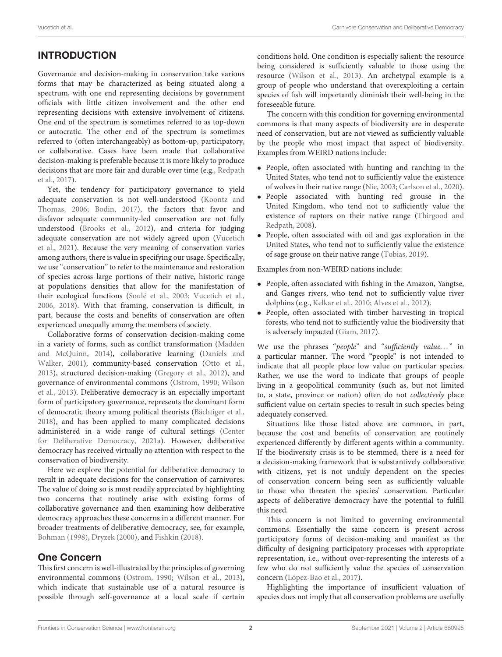# INTRODUCTION

Governance and decision-making in conservation take various forms that may be characterized as being situated along a spectrum, with one end representing decisions by government officials with little citizen involvement and the other end representing decisions with extensive involvement of citizens. One end of the spectrum is sometimes referred to as top-down or autocratic. The other end of the spectrum is sometimes referred to (often interchangeably) as bottom-up, participatory, or collaborative. Cases have been made that collaborative decision-making is preferable because it is more likely to produce decisions that are more fair and durable over time (e.g., Redpath et al., [2017\)](#page-11-0).

Yet, the tendency for participatory governance to yield adequate conservation is not well-understood (Koontz and Thomas, [2006;](#page-10-0) [Bodin, 2017\)](#page-9-0), the factors that favor and disfavor adequate community-led conservation are not fully understood [\(Brooks et al., 2012\)](#page-9-1), and criteria for judging adequate conservation are not widely agreed upon (Vucetich et al., [2021\)](#page-11-1). Because the very meaning of conservation varies among authors, there is value in specifying our usage. Specifically, we use "conservation" to refer to the maintenance and restoration of species across large portions of their native, historic range at populations densities that allow for the manifestation of their ecological functions [\(Soulé et al., 2003;](#page-11-2) [Vucetich et al.,](#page-11-3) [2006,](#page-11-3) [2018\)](#page-11-4). With that framing, conservation is difficult, in part, because the costs and benefits of conservation are often experienced unequally among the members of society.

Collaborative forms of conservation decision-making come in a variety of forms, such as conflict transformation (Madden and McQuinn, [2014\)](#page-10-1), collaborative learning (Daniels and Walker, [2001\)](#page-9-2), community-based conservation [\(Otto et al.,](#page-11-5) [2013\)](#page-11-5), structured decision-making [\(Gregory et al., 2012\)](#page-10-2), and governance of environmental commons [\(Ostrom, 1990;](#page-11-6) Wilson et al., [2013\)](#page-11-7). Deliberative democracy is an especially important form of participatory governance, represents the dominant form of democratic theory among political theorists [\(Bächtiger et al.,](#page-9-3) [2018\)](#page-9-3), and has been applied to many complicated decisions administered in a wide range of cultural settings (Center for Deliberative Democracy, [2021a\)](#page-9-4). However, deliberative democracy has received virtually no attention with respect to the conservation of biodiversity.

Here we explore the potential for deliberative democracy to result in adequate decisions for the conservation of carnivores. The value of doing so is most readily appreciated by highlighting two concerns that routinely arise with existing forms of collaborative governance and then examining how deliberative democracy approaches these concerns in a different manner. For broader treatments of deliberative democracy, see, for example, [Bohman \(1998\)](#page-9-5), [Dryzek \(2000\)](#page-10-3), and [Fishkin \(2018\)](#page-10-4).

### One Concern

This first concern is well-illustrated by the principles of governing environmental commons [\(Ostrom, 1990;](#page-11-6) [Wilson et al., 2013\)](#page-11-7), which indicate that sustainable use of a natural resource is possible through self-governance at a local scale if certain conditions hold. One condition is especially salient: the resource being considered is sufficiently valuable to those using the resource [\(Wilson et al., 2013\)](#page-11-7). An archetypal example is a group of people who understand that overexploiting a certain species of fish will importantly diminish their well-being in the foreseeable future.

The concern with this condition for governing environmental commons is that many aspects of biodiversity are in desperate need of conservation, but are not viewed as sufficiently valuable by the people who most impact that aspect of biodiversity. Examples from WEIRD nations include:

- People, often associated with hunting and ranching in the United States, who tend not to sufficiently value the existence of wolves in their native range [\(Nie, 2003;](#page-11-8) [Carlson et al., 2020\)](#page-9-6).
- People associated with hunting red grouse in the United Kingdom, who tend not to sufficiently value the existence of raptors on their native range (Thirgood and Redpath, [2008\)](#page-11-9).
- People, often associated with oil and gas exploration in the United States, who tend not to sufficiently value the existence of sage grouse on their native range [\(Tobias, 2019\)](#page-11-10).

Examples from non-WEIRD nations include:

- People, often associated with fishing in the Amazon, Yangtse, and Ganges rivers, who tend not to sufficiently value river dolphins (e.g., [Kelkar et al., 2010;](#page-10-5) [Alves et al., 2012\)](#page-9-7).
- People, often associated with timber harvesting in tropical forests, who tend not to sufficiently value the biodiversity that is adversely impacted [\(Giam, 2017\)](#page-10-6).

We use the phrases "people" and "sufficiently value..." in a particular manner. The word "people" is not intended to indicate that all people place low value on particular species. Rather, we use the word to indicate that groups of people living in a geopolitical community (such as, but not limited to, a state, province or nation) often do not collectively place sufficient value on certain species to result in such species being adequately conserved.

Situations like those listed above are common, in part, because the cost and benefits of conservation are routinely experienced differently by different agents within a community. If the biodiversity crisis is to be stemmed, there is a need for a decision-making framework that is substantively collaborative with citizens, yet is not unduly dependent on the species of conservation concern being seen as sufficiently valuable to those who threaten the species' conservation. Particular aspects of deliberative democracy have the potential to fulfill this need.

This concern is not limited to governing environmental commons. Essentially the same concern is present across participatory forms of decision-making and manifest as the difficulty of designing participatory processes with appropriate representation, i.e., without over-representing the interests of a few who do not sufficiently value the species of conservation concern [\(López-Bao et al., 2017\)](#page-10-7).

Highlighting the importance of insufficient valuation of species does not imply that all conservation problems are usefully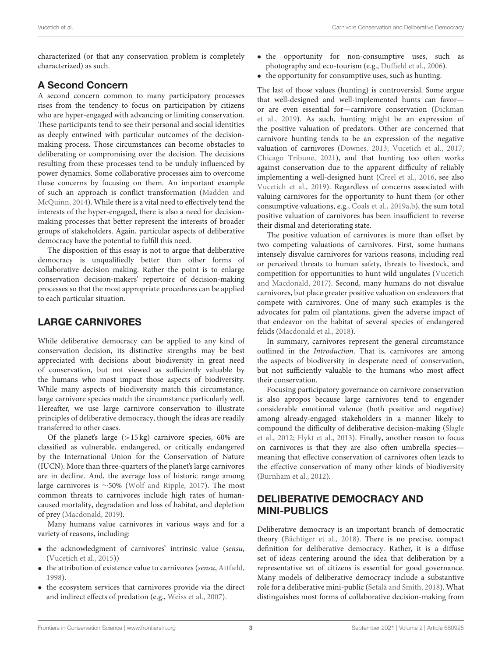characterized (or that any conservation problem is completely characterized) as such.

# A Second Concern

A second concern common to many participatory processes rises from the tendency to focus on participation by citizens who are hyper-engaged with advancing or limiting conservation. These participants tend to see their personal and social identities as deeply entwined with particular outcomes of the decisionmaking process. Those circumstances can become obstacles to deliberating or compromising over the decision. The decisions resulting from these processes tend to be unduly influenced by power dynamics. Some collaborative processes aim to overcome these concerns by focusing on them. An important example of such an approach is conflict transformation (Madden and McQuinn, [2014\)](#page-10-1). While there is a vital need to effectively tend the interests of the hyper-engaged, there is also a need for decisionmaking processes that better represent the interests of broader groups of stakeholders. Again, particular aspects of deliberative democracy have the potential to fulfill this need.

The disposition of this essay is not to argue that deliberative democracy is unqualifiedly better than other forms of collaborative decision making. Rather the point is to enlarge conservation decision-makers' repertoire of decision-making processes so that the most appropriate procedures can be applied to each particular situation.

# LARGE CARNIVORES

While deliberative democracy can be applied to any kind of conservation decision, its distinctive strengths may be best appreciated with decisions about biodiversity in great need of conservation, but not viewed as sufficiently valuable by the humans who most impact those aspects of biodiversity. While many aspects of biodiversity match this circumstance, large carnivore species match the circumstance particularly well. Hereafter, we use large carnivore conservation to illustrate principles of deliberative democracy, though the ideas are readily transferred to other cases.

Of the planet's large  $(>15 \text{ kg})$  carnivore species, 60% are classified as vulnerable, endangered, or critically endangered by the International Union for the Conservation of Nature (IUCN). More than three-quarters of the planet's large carnivores are in decline. And, the average loss of historic range among large carnivores is ∼50% [\(Wolf and Ripple, 2017\)](#page-12-0). The most common threats to carnivores include high rates of humancaused mortality, degradation and loss of habitat, and depletion of prey [\(Macdonald, 2019\)](#page-10-8).

Many humans value carnivores in various ways and for a variety of reasons, including:

- the acknowledgment of carnivores' intrinsic value (sensu, [\(Vucetich et al., 2015\)](#page-11-11))
- the attribution of existence value to carnivores (sensu, [Attfield,](#page-9-8) [1998\)](#page-9-8).
- the ecosystem services that carnivores provide via the direct and indirect effects of predation (e.g., [Weiss et al., 2007\)](#page-11-12).
- the opportunity for non-consumptive uses, such as photography and eco-tourism (e.g., [Duffield et al., 2006\)](#page-10-9).
- the opportunity for consumptive uses, such as hunting.

The last of those values (hunting) is controversial. Some argue that well-designed and well-implemented hunts can favor or are even essential for—carnivore conservation (Dickman et al., [2019\)](#page-10-10). As such, hunting might be an expression of the positive valuation of predators. Other are concerned that carnivore hunting tends to be an expression of the negative valuation of carnivores [\(Downes, 2013;](#page-10-11) [Vucetich et al., 2017;](#page-11-13) [Chicago Tribune, 2021\)](#page-9-9), and that hunting too often works against conservation due to the apparent difficulty of reliably implementing a well-designed hunt [\(Creel et al., 2016,](#page-9-10) see also [Vucetich et al., 2019\)](#page-11-14). Regardless of concerns associated with valuing carnivores for the opportunity to hunt them (or other consumptive valuations, e.g., [Coals et al., 2019a,](#page-9-11)[b\)](#page-9-12), the sum total positive valuation of carnivores has been insufficient to reverse their dismal and deteriorating state.

The positive valuation of carnivores is more than offset by two competing valuations of carnivores. First, some humans intensely disvalue carnivores for various reasons, including real or perceived threats to human safety, threats to livestock, and competition for opportunities to hunt wild ungulates (Vucetich and Macdonald, [2017\)](#page-11-15). Second, many humans do not disvalue carnivores, but place greater positive valuation on endeavors that compete with carnivores. One of many such examples is the advocates for palm oil plantations, given the adverse impact of that endeavor on the habitat of several species of endangered felids [\(Macdonald et al., 2018\)](#page-10-12).

In summary, carnivores represent the general circumstance outlined in the Introduction. That is, carnivores are among the aspects of biodiversity in desperate need of conservation, but not sufficiently valuable to the humans who most affect their conservation.

Focusing participatory governance on carnivore conservation is also apropos because large carnivores tend to engender considerable emotional valence (both positive and negative) among already-engaged stakeholders in a manner likely to compound the difficulty of deliberative decision-making (Slagle et al., [2012;](#page-11-16) [Flykt et al., 2013\)](#page-10-13). Finally, another reason to focus on carnivores is that they are also often umbrella species meaning that effective conservation of carnivores often leads to the effective conservation of many other kinds of biodiversity [\(Burnham et al., 2012\)](#page-9-13).

# DELIBERATIVE DEMOCRACY AND MINI-PUBLICS

Deliberative democracy is an important branch of democratic theory [\(Bächtiger et al., 2018\)](#page-9-3). There is no precise, compact definition for deliberative democracy. Rather, it is a diffuse set of ideas centering around the idea that deliberation by a representative set of citizens is essential for good governance. Many models of deliberative democracy include a substantive role for a deliberative mini-public [\(Setälä and Smith, 2018\)](#page-11-17). What distinguishes most forms of collaborative decision-making from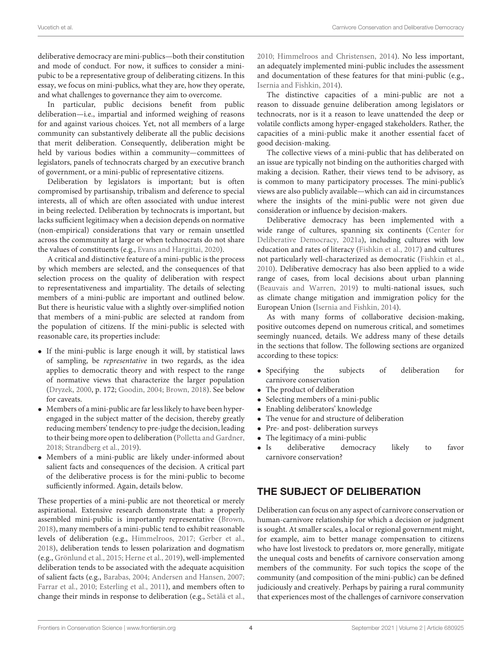deliberative democracy are mini-publics—both their constitution and mode of conduct. For now, it suffices to consider a minipubic to be a representative group of deliberating citizens. In this essay, we focus on mini-publics, what they are, how they operate, and what challenges to governance they aim to overcome.

In particular, public decisions benefit from public deliberation—i.e., impartial and informed weighing of reasons for and against various choices. Yet, not all members of a large community can substantively deliberate all the public decisions that merit deliberation. Consequently, deliberation might be held by various bodies within a community—committees of legislators, panels of technocrats charged by an executive branch of government, or a mini-public of representative citizens.

Deliberation by legislators is important; but is often compromised by partisanship, tribalism and deference to special interests, all of which are often associated with undue interest in being reelected. Deliberation by technocrats is important, but lacks sufficient legitimacy when a decision depends on normative (non-empirical) considerations that vary or remain unsettled across the community at large or when technocrats do not share the values of constituents (e.g., [Evans and Hargittai, 2020\)](#page-10-14).

A critical and distinctive feature of a mini-public is the process by which members are selected, and the consequences of that selection process on the quality of deliberation with respect to representativeness and impartiality. The details of selecting members of a mini-public are important and outlined below. But there is heuristic value with a slightly over-simplified notion that members of a mini-public are selected at random from the population of citizens. If the mini-public is selected with reasonable care, its properties include:

- If the mini-public is large enough it will, by statistical laws of sampling, be representative in two regards, as the idea applies to democratic theory and with respect to the range of normative views that characterize the larger population [\(Dryzek, 2000,](#page-10-3) p. 172; [Goodin, 2004;](#page-10-15) [Brown, 2018\)](#page-9-14). See below for caveats.
- Members of a mini-public are far less likely to have been hyperengaged in the subject matter of the decision, thereby greatly reducing members' tendency to pre-judge the decision, leading to their being more open to deliberation [\(Polletta and Gardner,](#page-11-18) [2018;](#page-11-18) [Strandberg et al., 2019\)](#page-11-19).
- Members of a mini-public are likely under-informed about salient facts and consequences of the decision. A critical part of the deliberative process is for the mini-public to become sufficiently informed. Again, details below.

These properties of a mini-public are not theoretical or merely aspirational. Extensive research demonstrate that: a properly assembled mini-public is importantly representative [\(Brown,](#page-9-14) [2018\)](#page-9-14), many members of a mini-public tend to exhibit reasonable levels of deliberation (e.g., [Himmelroos, 2017;](#page-10-16) [Gerber et al.,](#page-10-17) [2018\)](#page-10-17), deliberation tends to lessen polarization and dogmatism (e.g., [Grönlund et al., 2015;](#page-10-18) [Herne et al., 2019\)](#page-10-19), well-implemented deliberation tends to be associated with the adequate acquisition of salient facts (e.g., [Barabas, 2004;](#page-9-15) [Andersen and Hansen, 2007;](#page-9-16) [Farrar et al., 2010;](#page-10-20) [Esterling et al., 2011\)](#page-10-21), and members often to change their minds in response to deliberation (e.g., [Setälä et al.,](#page-11-20) [2010;](#page-11-20) [Himmelroos and Christensen, 2014\)](#page-10-22). No less important, an adequately implemented mini-public includes the assessment and documentation of these features for that mini-public (e.g., [Isernia and Fishkin, 2014\)](#page-10-23).

The distinctive capacities of a mini-public are not a reason to dissuade genuine deliberation among legislators or technocrats, nor is it a reason to leave unattended the deep or volatile conflicts among hyper-engaged stakeholders. Rather, the capacities of a mini-public make it another essential facet of good decision-making.

The collective views of a mini-public that has deliberated on an issue are typically not binding on the authorities charged with making a decision. Rather, their views tend to be advisory, as is common to many participatory processes. The mini-public's views are also publicly available—which can aid in circumstances where the insights of the mini-public were not given due consideration or influence by decision-makers.

Deliberative democracy has been implemented with a wide range of cultures, spanning six continents (Center for Deliberative Democracy, [2021a\)](#page-9-4), including cultures with low education and rates of literacy [\(Fishkin et al., 2017\)](#page-10-24) and cultures not particularly well-characterized as democratic [\(Fishkin et al.,](#page-10-25) [2010\)](#page-10-25). Deliberative democracy has also been applied to a wide range of cases, from local decisions about urban planning [\(Beauvais and Warren, 2019\)](#page-9-17) to multi-national issues, such as climate change mitigation and immigration policy for the European Union [\(Isernia and Fishkin, 2014\)](#page-10-23).

As with many forms of collaborative decision-making, positive outcomes depend on numerous critical, and sometimes seemingly nuanced, details. We address many of these details in the sections that follow. The following sections are organized according to these topics:

- Specifying the subjects of deliberation for carnivore conservation
- The product of deliberation
- Selecting members of a mini-public
- Enabling deliberators' knowledge
- The venue for and structure of deliberation
- Pre- and post- deliberation surveys
- The legitimacy of a mini-public
- Is deliberative democracy likely to favor carnivore conservation?

# THE SUBJECT OF DELIBERATION

Deliberation can focus on any aspect of carnivore conservation or human-carnivore relationship for which a decision or judgment is sought. At smaller scales, a local or regional government might, for example, aim to better manage compensation to citizens who have lost livestock to predators or, more generally, mitigate the unequal costs and benefits of carnivore conservation among members of the community. For such topics the scope of the community (and composition of the mini-public) can be defined judiciously and creatively. Perhaps by pairing a rural community that experiences most of the challenges of carnivore conservation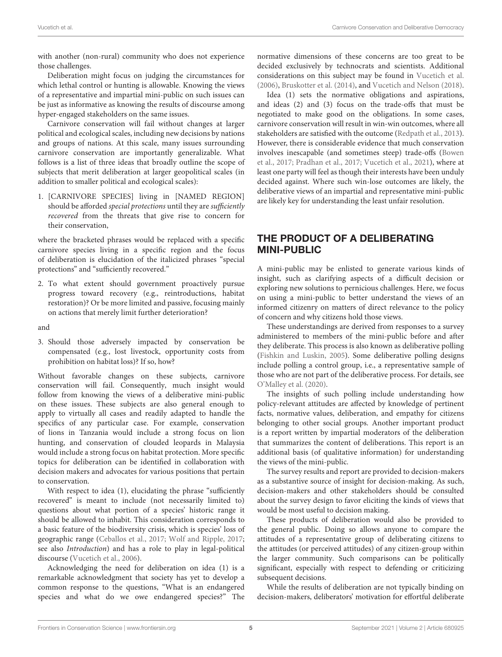with another (non-rural) community who does not experience those challenges.

Deliberation might focus on judging the circumstances for which lethal control or hunting is allowable. Knowing the views of a representative and impartial mini-public on such issues can be just as informative as knowing the results of discourse among hyper-engaged stakeholders on the same issues.

Carnivore conservation will fail without changes at larger political and ecological scales, including new decisions by nations and groups of nations. At this scale, many issues surrounding carnivore conservation are importantly generalizable. What follows is a list of three ideas that broadly outline the scope of subjects that merit deliberation at larger geopolitical scales (in addition to smaller political and ecological scales):

1. [CARNIVORE SPECIES] living in [NAMED REGION] should be afforded special protections until they are sufficiently recovered from the threats that give rise to concern for their conservation,

where the bracketed phrases would be replaced with a specific carnivore species living in a specific region and the focus of deliberation is elucidation of the italicized phrases "special protections" and "sufficiently recovered."

2. To what extent should government proactively pursue progress toward recovery (e.g., reintroductions, habitat restoration)? Or be more limited and passive, focusing mainly on actions that merely limit further deterioration?

and

3. Should those adversely impacted by conservation be compensated (e.g., lost livestock, opportunity costs from prohibition on habitat loss)? If so, how?

Without favorable changes on these subjects, carnivore conservation will fail. Consequently, much insight would follow from knowing the views of a deliberative mini-public on these issues. These subjects are also general enough to apply to virtually all cases and readily adapted to handle the specifics of any particular case. For example, conservation of lions in Tanzania would include a strong focus on lion hunting, and conservation of clouded leopards in Malaysia would include a strong focus on habitat protection. More specific topics for deliberation can be identified in collaboration with decision makers and advocates for various positions that pertain to conservation.

With respect to idea (1), elucidating the phrase "sufficiently recovered" is meant to include (not necessarily limited to) questions about what portion of a species' historic range it should be allowed to inhabit. This consideration corresponds to a basic feature of the biodiversity crisis, which is species' loss of geographic range [\(Ceballos et al., 2017;](#page-9-18) [Wolf and Ripple, 2017;](#page-12-0) see also Introduction) and has a role to play in legal-political discourse [\(Vucetich et al., 2006\)](#page-11-3).

Acknowledging the need for deliberation on idea (1) is a remarkable acknowledgment that society has yet to develop a common response to the questions, "What is an endangered species and what do we owe endangered species?" The normative dimensions of these concerns are too great to be decided exclusively by technocrats and scientists. Additional considerations on this subject may be found in [Vucetich et al.](#page-11-3) [\(2006\)](#page-11-3), [Bruskotter et al. \(2014\)](#page-9-19), and [Vucetich and Nelson \(2018\)](#page-11-21).

Idea (1) sets the normative obligations and aspirations, and ideas (2) and (3) focus on the trade-offs that must be negotiated to make good on the obligations. In some cases, carnivore conservation will result in win-win outcomes, where all stakeholders are satisfied with the outcome [\(Redpath et al., 2013\)](#page-11-22). However, there is considerable evidence that much conservation involves inescapable (and sometimes steep) trade-offs (Bowen et al., [2017;](#page-9-20) [Pradhan et al., 2017;](#page-11-23) [Vucetich et al., 2021\)](#page-11-1), where at least one party will feel as though their interests have been unduly decided against. Where such win-lose outcomes are likely, the deliberative views of an impartial and representative mini-public are likely key for understanding the least unfair resolution.

# THE PRODUCT OF A DELIBERATING MINI-PUBLIC

A mini-public may be enlisted to generate various kinds of insight, such as clarifying aspects of a difficult decision or exploring new solutions to pernicious challenges. Here, we focus on using a mini-public to better understand the views of an informed citizenry on matters of direct relevance to the policy of concern and why citizens hold those views.

These understandings are derived from responses to a survey administered to members of the mini-public before and after they deliberate. This process is also known as deliberative polling [\(Fishkin and Luskin, 2005\)](#page-10-26). Some deliberative polling designs include polling a control group, i.e., a representative sample of those who are not part of the deliberative process. For details, see [O'Malley et al. \(2020\)](#page-11-24).

The insights of such polling include understanding how policy-relevant attitudes are affected by knowledge of pertinent facts, normative values, deliberation, and empathy for citizens belonging to other social groups. Another important product is a report written by impartial moderators of the deliberation that summarizes the content of deliberations. This report is an additional basis (of qualitative information) for understanding the views of the mini-public.

The survey results and report are provided to decision-makers as a substantive source of insight for decision-making. As such, decision-makers and other stakeholders should be consulted about the survey design to favor eliciting the kinds of views that would be most useful to decision making.

These products of deliberation would also be provided to the general public. Doing so allows anyone to compare the attitudes of a representative group of deliberating citizens to the attitudes (or perceived attitudes) of any citizen-group within the larger community. Such comparisons can be politically significant, especially with respect to defending or criticizing subsequent decisions.

While the results of deliberation are not typically binding on decision-makers, deliberators' motivation for effortful deliberate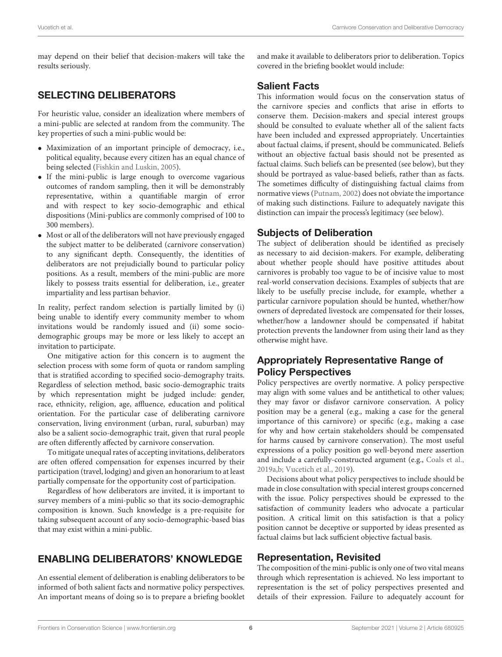may depend on their belief that decision-makers will take the results seriously.

# SELECTING DELIBERATORS

For heuristic value, consider an idealization where members of a mini-public are selected at random from the community. The key properties of such a mini-public would be:

- Maximization of an important principle of democracy, i.e., political equality, because every citizen has an equal chance of being selected [\(Fishkin and Luskin, 2005\)](#page-10-26).
- If the mini-public is large enough to overcome vagarious outcomes of random sampling, then it will be demonstrably representative, within a quantifiable margin of error and with respect to key socio-demographic and ethical dispositions (Mini-publics are commonly comprised of 100 to 300 members).
- Most or all of the deliberators will not have previously engaged the subject matter to be deliberated (carnivore conservation) to any significant depth. Consequently, the identities of deliberators are not prejudicially bound to particular policy positions. As a result, members of the mini-public are more likely to possess traits essential for deliberation, i.e., greater impartiality and less partisan behavior.

In reality, perfect random selection is partially limited by (i) being unable to identify every community member to whom invitations would be randomly issued and (ii) some sociodemographic groups may be more or less likely to accept an invitation to participate.

One mitigative action for this concern is to augment the selection process with some form of quota or random sampling that is stratified according to specified socio-demography traits. Regardless of selection method, basic socio-demographic traits by which representation might be judged include: gender, race, ethnicity, religion, age, affluence, education and political orientation. For the particular case of deliberating carnivore conservation, living environment (urban, rural, suburban) may also be a salient socio-demographic trait, given that rural people are often differently affected by carnivore conservation.

To mitigate unequal rates of accepting invitations, deliberators are often offered compensation for expenses incurred by their participation (travel, lodging) and given an honorarium to at least partially compensate for the opportunity cost of participation.

Regardless of how deliberators are invited, it is important to survey members of a mini-public so that its socio-demographic composition is known. Such knowledge is a pre-requisite for taking subsequent account of any socio-demographic-based bias that may exist within a mini-public.

# ENABLING DELIBERATORS' KNOWLEDGE

An essential element of deliberation is enabling deliberators to be informed of both salient facts and normative policy perspectives. An important means of doing so is to prepare a briefing booklet and make it available to deliberators prior to deliberation. Topics covered in the briefing booklet would include:

# Salient Facts

This information would focus on the conservation status of the carnivore species and conflicts that arise in efforts to conserve them. Decision-makers and special interest groups should be consulted to evaluate whether all of the salient facts have been included and expressed appropriately. Uncertainties about factual claims, if present, should be communicated. Beliefs without an objective factual basis should not be presented as factual claims. Such beliefs can be presented (see below), but they should be portrayed as value-based beliefs, rather than as facts. The sometimes difficulty of distinguishing factual claims from normative views [\(Putnam, 2002\)](#page-11-25) does not obviate the importance of making such distinctions. Failure to adequately navigate this distinction can impair the process's legitimacy (see below).

# Subjects of Deliberation

The subject of deliberation should be identified as precisely as necessary to aid decision-makers. For example, deliberating about whether people should have positive attitudes about carnivores is probably too vague to be of incisive value to most real-world conservation decisions. Examples of subjects that are likely to be usefully precise include, for example, whether a particular carnivore population should be hunted, whether/how owners of depredated livestock are compensated for their losses, whether/how a landowner should be compensated if habitat protection prevents the landowner from using their land as they otherwise might have.

# Appropriately Representative Range of Policy Perspectives

Policy perspectives are overtly normative. A policy perspective may align with some values and be antithetical to other values; they may favor or disfavor carnivore conservation. A policy position may be a general (e.g., making a case for the general importance of this carnivore) or specific (e.g., making a case for why and how certain stakeholders should be compensated for harms caused by carnivore conservation). The most useful expressions of a policy position go well-beyond mere assertion and include a carefully-constructed argument (e.g., [Coals et al.,](#page-9-11) [2019a](#page-9-11)[,b;](#page-9-12) [Vucetich et al., 2019\)](#page-11-14).

Decisions about what policy perspectives to include should be made in close consultation with special interest groups concerned with the issue. Policy perspectives should be expressed to the satisfaction of community leaders who advocate a particular position. A critical limit on this satisfaction is that a policy position cannot be deceptive or supported by ideas presented as factual claims but lack sufficient objective factual basis.

# Representation, Revisited

The composition of the mini-public is only one of two vital means through which representation is achieved. No less important to representation is the set of policy perspectives presented and details of their expression. Failure to adequately account for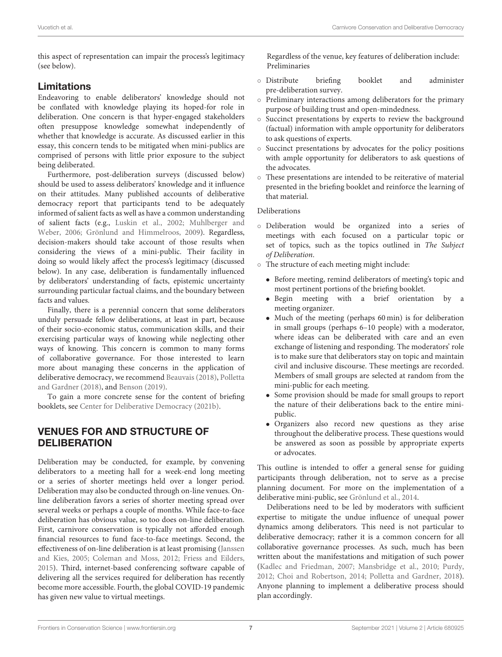this aspect of representation can impair the process's legitimacy (see below).

# Limitations

Endeavoring to enable deliberators' knowledge should not be conflated with knowledge playing its hoped-for role in deliberation. One concern is that hyper-engaged stakeholders often presuppose knowledge somewhat independently of whether that knowledge is accurate. As discussed earlier in this essay, this concern tends to be mitigated when mini-publics are comprised of persons with little prior exposure to the subject being deliberated.

Furthermore, post-deliberation surveys (discussed below) should be used to assess deliberators' knowledge and it influence on their attitudes. Many published accounts of deliberative democracy report that participants tend to be adequately informed of salient facts as well as have a common understanding of salient facts (e.g., [Luskin et al., 2002;](#page-10-27) Muhlberger and Weber, [2006;](#page-11-26) [Grönlund and Himmelroos, 2009\)](#page-10-28). Regardless, decision-makers should take account of those results when considering the views of a mini-public. Their facility in doing so would likely affect the process's legitimacy (discussed below). In any case, deliberation is fundamentally influenced by deliberators' understanding of facts, epistemic uncertainty surrounding particular factual claims, and the boundary between facts and values.

Finally, there is a perennial concern that some deliberators unduly persuade fellow deliberations, at least in part, because of their socio-economic status, communication skills, and their exercising particular ways of knowing while neglecting other ways of knowing. This concern is common to many forms of collaborative governance. For those interested to learn more about managing these concerns in the application of deliberative democracy, we recommend [Beauvais \(2018\)](#page-9-21), Polletta and Gardner [\(2018\)](#page-11-18), and [Benson \(2019\)](#page-9-22).

To gain a more concrete sense for the content of briefing booklets, see [Center for Deliberative Democracy \(2021b\)](#page-9-23).

# VENUES FOR AND STRUCTURE OF **DELIBERATION**

Deliberation may be conducted, for example, by convening deliberators to a meeting hall for a week-end long meeting or a series of shorter meetings held over a longer period. Deliberation may also be conducted through on-line venues. Online deliberation favors a series of shorter meeting spread over several weeks or perhaps a couple of months. While face-to-face deliberation has obvious value, so too does on-line deliberation. First, carnivore conservation is typically not afforded enough financial resources to fund face-to-face meetings. Second, the effectiveness of on-line deliberation is at least promising (Janssen and Kies, [2005;](#page-10-29) [Coleman and Moss, 2012;](#page-9-24) [Friess and Eilders,](#page-10-30) [2015\)](#page-10-30). Third, internet-based conferencing software capable of delivering all the services required for deliberation has recently become more accessible. Fourth, the global COVID-19 pandemic has given new value to virtual meetings.

Regardless of the venue, key features of deliberation include: Preliminaries

- Distribute briefing booklet and administer pre-deliberation survey.
- Preliminary interactions among deliberators for the primary purpose of building trust and open-mindedness.
- Succinct presentations by experts to review the background (factual) information with ample opportunity for deliberators to ask questions of experts.
- Succinct presentations by advocates for the policy positions with ample opportunity for deliberators to ask questions of the advocates.
- These presentations are intended to be reiterative of material presented in the briefing booklet and reinforce the learning of that material.

### Deliberations

- Deliberation would be organized into a series of meetings with each focused on a particular topic or set of topics, such as the topics outlined in The Subject of Deliberation.
- The structure of each meeting might include:
	- Before meeting, remind deliberators of meeting's topic and most pertinent portions of the briefing booklet.
	- Begin meeting with a brief orientation by a meeting organizer.
	- Much of the meeting (perhaps 60 min) is for deliberation in small groups (perhaps 6–10 people) with a moderator, where ideas can be deliberated with care and an even exchange of listening and responding. The moderators' role is to make sure that deliberators stay on topic and maintain civil and inclusive discourse. These meetings are recorded. Members of small groups are selected at random from the mini-public for each meeting.
	- Some provision should be made for small groups to report the nature of their deliberations back to the entire minipublic.
	- Organizers also record new questions as they arise throughout the deliberative process. These questions would be answered as soon as possible by appropriate experts or advocates.

This outline is intended to offer a general sense for guiding participants through deliberation, not to serve as a precise planning document. For more on the implementation of a deliberative mini-public, see [Grönlund et al., 2014.](#page-10-31)

Deliberations need to be led by moderators with sufficient expertise to mitigate the undue influence of unequal power dynamics among deliberators. This need is not particular to deliberative democracy; rather it is a common concern for all collaborative governance processes. As such, much has been written about the manifestations and mitigation of such power [\(Kadlec and Friedman, 2007;](#page-10-32) [Mansbridge et al., 2010;](#page-11-27) [Purdy,](#page-11-28) [2012;](#page-11-28) [Choi and Robertson, 2014;](#page-9-25) [Polletta and Gardner, 2018\)](#page-11-18). Anyone planning to implement a deliberative process should plan accordingly.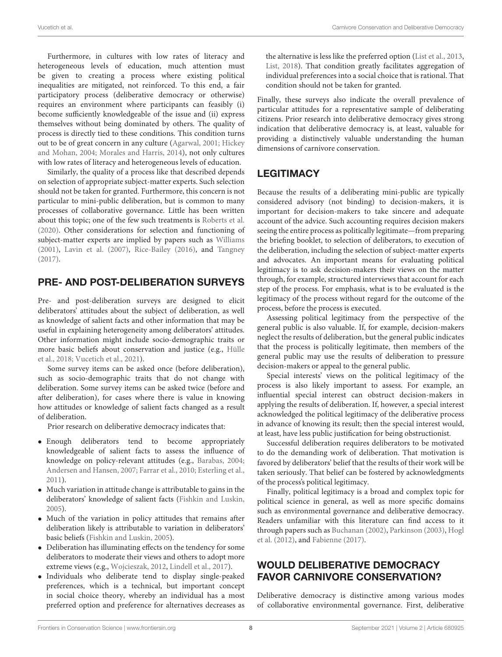Furthermore, in cultures with low rates of literacy and heterogeneous levels of education, much attention must be given to creating a process where existing political inequalities are mitigated, not reinforced. To this end, a fair participatory process (deliberative democracy or otherwise) requires an environment where participants can feasibly (i) become sufficiently knowledgeable of the issue and (ii) express themselves without being dominated by others. The quality of process is directly tied to these conditions. This condition turns out to be of great concern in any culture [\(Agarwal, 2001;](#page-9-26) Hickey and Mohan, [2004;](#page-10-33) [Morales and Harris, 2014\)](#page-11-29), not only cultures with low rates of literacy and heterogeneous levels of education.

Similarly, the quality of a process like that described depends on selection of appropriate subject-matter experts. Such selection should not be taken for granted. Furthermore, this concern is not particular to mini-public deliberation, but is common to many processes of collaborative governance. Little has been written about this topic; one of the few such treatments is [Roberts et al.](#page-11-30) [\(2020\)](#page-11-30). Other considerations for selection and functioning of subject-matter experts are implied by papers such as [Williams](#page-11-31) [\(2001\)](#page-11-31), [Lavin et al. \(2007\)](#page-10-34), [Rice-Bailey \(2016\)](#page-11-32), and [Tangney](#page-11-33) [\(2017\)](#page-11-33).

# PRE- AND POST-DELIBERATION SURVEYS

Pre- and post-deliberation surveys are designed to elicit deliberators' attitudes about the subject of deliberation, as well as knowledge of salient facts and other information that may be useful in explaining heterogeneity among deliberators' attitudes. Other information might include socio-demographic traits or more basic beliefs about conservation and justice (e.g., Hülle et al., [2018;](#page-10-35) [Vucetich et al., 2021\)](#page-11-1).

Some survey items can be asked once (before deliberation), such as socio-demographic traits that do not change with deliberation. Some survey items can be asked twice (before and after deliberation), for cases where there is value in knowing how attitudes or knowledge of salient facts changed as a result of deliberation.

Prior research on deliberative democracy indicates that:

- Enough deliberators tend to become appropriately knowledgeable of salient facts to assess the influence of knowledge on policy-relevant attitudes (e.g., [Barabas, 2004;](#page-9-15) [Andersen and Hansen, 2007;](#page-9-16) [Farrar et al., 2010;](#page-10-20) [Esterling et](#page-10-21) al., [2011\)](#page-10-21).
- Much variation in attitude change is attributable to gains in the deliberators' knowledge of salient facts [\(Fishkin and Luskin,](#page-10-26) [2005\)](#page-10-26).
- Much of the variation in policy attitudes that remains after deliberation likely is attributable to variation in deliberators' basic beliefs [\(Fishkin and Luskin, 2005\)](#page-10-26).
- Deliberation has illuminating effects on the tendency for some deliberators to moderate their views and others to adopt more extreme views (e.g., [Wojcieszak, 2012,](#page-12-1) [Lindell et al., 2017\)](#page-10-36).
- Individuals who deliberate tend to display single-peaked preferences, which is a technical, but important concept in social choice theory, whereby an individual has a most preferred option and preference for alternatives decreases as

the alternative is less like the preferred option [\(List et al., 2013,](#page-10-37) [List, 2018\)](#page-10-38). That condition greatly facilitates aggregation of individual preferences into a social choice that is rational. That condition should not be taken for granted.

Finally, these surveys also indicate the overall prevalence of particular attitudes for a representative sample of deliberating citizens. Prior research into deliberative democracy gives strong indication that deliberative democracy is, at least, valuable for providing a distinctively valuable understanding the human dimensions of carnivore conservation.

# **LEGITIMACY**

Because the results of a deliberating mini-public are typically considered advisory (not binding) to decision-makers, it is important for decision-makers to take sincere and adequate account of the advice. Such accounting requires decision makers seeing the entire process as politically legitimate—from preparing the briefing booklet, to selection of deliberators, to execution of the deliberation, including the selection of subject-matter experts and advocates. An important means for evaluating political legitimacy is to ask decision-makers their views on the matter through, for example, structured interviews that account for each step of the process. For emphasis, what is to be evaluated is the legitimacy of the process without regard for the outcome of the process, before the process is executed.

Assessing political legitimacy from the perspective of the general public is also valuable. If, for example, decision-makers neglect the results of deliberation, but the general public indicates that the process is politically legitimate, then members of the general public may use the results of deliberation to pressure decision-makers or appeal to the general public.

Special interests' views on the political legitimacy of the process is also likely important to assess. For example, an influential special interest can obstruct decision-makers in applying the results of deliberation. If, however, a special interest acknowledged the political legitimacy of the deliberative process in advance of knowing its result; then the special interest would, at least, have less public justification for being obstructionist.

Successful deliberation requires deliberators to be motivated to do the demanding work of deliberation. That motivation is favored by deliberators' belief that the results of their work will be taken seriously. That belief can be fostered by acknowledgments of the process's political legitimacy.

Finally, political legitimacy is a broad and complex topic for political science in general, as well as more specific domains such as environmental governance and deliberative democracy. Readers unfamiliar with this literature can find access to it through papers such as [Buchanan \(2002\)](#page-9-27), [Parkinson \(2003\)](#page-11-34), Hogl et al. [\(2012\)](#page-10-39), and [Fabienne \(2017\)](#page-10-40).

# WOULD DELIBERATIVE DEMOCRACY FAVOR CARNIVORE CONSERVATION?

Deliberative democracy is distinctive among various modes of collaborative environmental governance. First, deliberative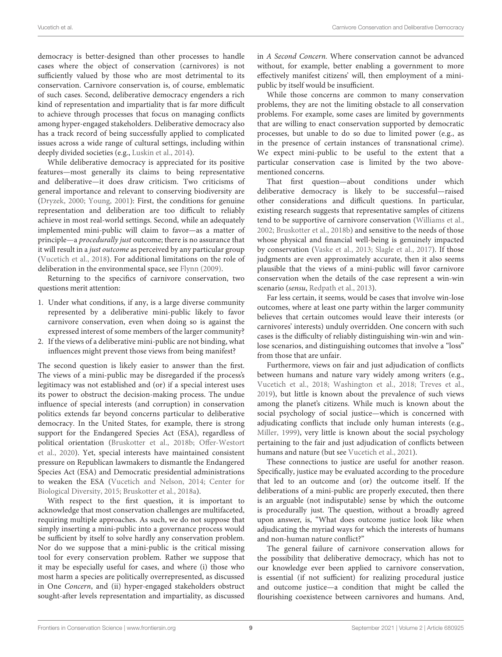democracy is better-designed than other processes to handle cases where the object of conservation (carnivores) is not sufficiently valued by those who are most detrimental to its conservation. Carnivore conservation is, of course, emblematic of such cases. Second, deliberative democracy engenders a rich kind of representation and impartiality that is far more difficult to achieve through processes that focus on managing conflicts among hyper-engaged stakeholders. Deliberative democracy also has a track record of being successfully applied to complicated issues across a wide range of cultural settings, including within deeply divided societies (e.g., [Luskin et al., 2014\)](#page-10-41).

While deliberative democracy is appreciated for its positive features—most generally its claims to being representative and deliberative—it does draw criticism. Two criticisms of general importance and relevant to conserving biodiversity are [\(Dryzek, 2000;](#page-10-3) [Young, 2001\)](#page-12-2): First, the conditions for genuine representation and deliberation are too difficult to reliably achieve in most real-world settings. Second, while an adequately implemented mini-public will claim to favor—as a matter of principle—a procedurally just outcome; there is no assurance that it will result in a *just outcome* as perceived by any particular group [\(Vucetich et al., 2018\)](#page-11-4). For additional limitations on the role of deliberation in the environmental space, see [Flynn \(2009\)](#page-10-42).

Returning to the specifics of carnivore conservation, two questions merit attention:

- 1. Under what conditions, if any, is a large diverse community represented by a deliberative mini-public likely to favor carnivore conservation, even when doing so is against the expressed interest of some members of the larger community?
- 2. If the views of a deliberative mini-public are not binding, what influences might prevent those views from being manifest?

The second question is likely easier to answer than the first. The views of a mini-public may be disregarded if the process's legitimacy was not established and (or) if a special interest uses its power to obstruct the decision-making process. The undue influence of special interests (and corruption) in conservation politics extends far beyond concerns particular to deliberative democracy. In the United States, for example, there is strong support for the Endangered Species Act (ESA), regardless of political orientation [\(Bruskotter et al., 2018b;](#page-9-28) Offer-Westort et al., [2020\)](#page-11-35). Yet, special interests have maintained consistent pressure on Republican lawmakers to dismantle the Endangered Species Act (ESA) and Democratic presidential administrations to weaken the ESA [\(Vucetich and Nelson, 2014;](#page-11-36) Center for Biological Diversity, [2015;](#page-9-29) [Bruskotter et al., 2018a\)](#page-9-30).

With respect to the first question, it is important to acknowledge that most conservation challenges are multifaceted, requiring multiple approaches. As such, we do not suppose that simply inserting a mini-public into a governance process would be sufficient by itself to solve hardly any conservation problem. Nor do we suppose that a mini-public is the critical missing tool for every conservation problem. Rather we suppose that it may be especially useful for cases, and where (i) those who most harm a species are politically overrepresented, as discussed in One Concern, and (ii) hyper-engaged stakeholders obstruct sought-after levels representation and impartiality, as discussed in A Second Concern. Where conservation cannot be advanced without, for example, better enabling a government to more effectively manifest citizens' will, then employment of a minipublic by itself would be insufficient.

While those concerns are common to many conservation problems, they are not the limiting obstacle to all conservation problems. For example, some cases are limited by governments that are willing to enact conservation supported by democratic processes, but unable to do so due to limited power (e.g., as in the presence of certain instances of transnational crime). We expect mini-public to be useful to the extent that a particular conservation case is limited by the two abovementioned concerns.

That first question—about conditions under which deliberative democracy is likely to be successful—raised other considerations and difficult questions. In particular, existing research suggests that representative samples of citizens tend to be supportive of carnivore conservation [\(Williams et al.,](#page-11-37) [2002;](#page-11-37) [Bruskotter et al., 2018b\)](#page-9-28) and sensitive to the needs of those whose physical and financial well-being is genuinely impacted by conservation [\(Vaske et al., 2013;](#page-11-38) [Slagle et al., 2017\)](#page-11-39). If those judgments are even approximately accurate, then it also seems plausible that the views of a mini-public will favor carnivore conservation when the details of the case represent a win-win scenario (sensu, [Redpath et al., 2013\)](#page-11-22).

Far less certain, it seems, would be cases that involve win-lose outcomes, where at least one party within the larger community believes that certain outcomes would leave their interests (or carnivores' interests) unduly overridden. One concern with such cases is the difficulty of reliably distinguishing win-win and winlose scenarios, and distinguishing outcomes that involve a "loss" from those that are unfair.

Furthermore, views on fair and just adjudication of conflicts between humans and nature vary widely among writers (e.g., [Vucetich et al., 2018;](#page-11-4) [Washington et al., 2018;](#page-11-40) [Treves et al.,](#page-11-41) [2019\)](#page-11-41), but little is known about the prevalence of such views among the planet's citizens. While much is known about the social psychology of social justice—which is concerned with adjudicating conflicts that include only human interests (e.g., [Miller, 1999\)](#page-11-42), very little is known about the social psychology pertaining to the fair and just adjudication of conflicts between humans and nature (but see [Vucetich et al., 2021\)](#page-11-1).

These connections to justice are useful for another reason. Specifically, justice may be evaluated according to the procedure that led to an outcome and (or) the outcome itself. If the deliberations of a mini-public are properly executed, then there is an arguable (not indisputable) sense by which the outcome is procedurally just. The question, without a broadly agreed upon answer, is, "What does outcome justice look like when adjudicating the myriad ways for which the interests of humans and non-human nature conflict?"

The general failure of carnivore conservation allows for the possibility that deliberative democracy, which has not to our knowledge ever been applied to carnivore conservation, is essential (if not sufficient) for realizing procedural justice and outcome justice—a condition that might be called the flourishing coexistence between carnivores and humans. And,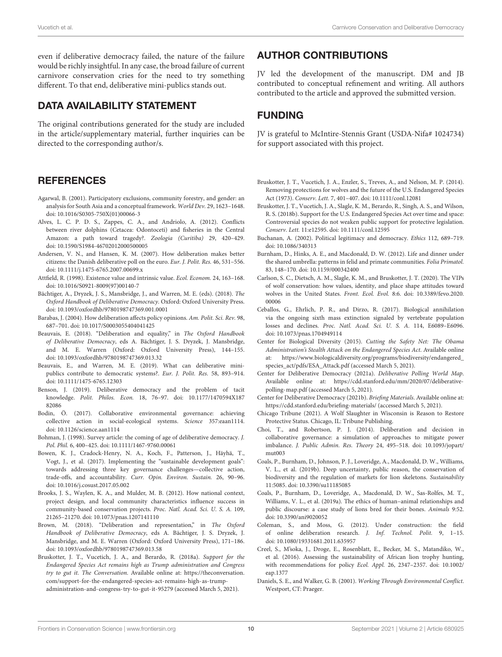even if deliberative democracy failed, the nature of the failure would be richly insightful. In any case, the broad failure of current carnivore conservation cries for the need to try something different. To that end, deliberative mini-publics stands out.

# DATA AVAILABILITY STATEMENT

The original contributions generated for the study are included in the article/supplementary material, further inquiries can be directed to the corresponding author/s.

## **REFERENCES**

- <span id="page-9-26"></span>Agarwal, B. (2001). Participatory exclusions, community forestry, and gender: an analysis for South Asia and a conceptual framework. World Dev. 29, 1623–1648. doi: [10.1016/S0305-750X\(01\)00066-3](https://doi.org/10.1016/S0305-750X(01)00066-3)
- <span id="page-9-7"></span>Alves, L. C. P. D. S., Zappes, C. A., and Andriolo, A. (2012). Conflicts between river dolphins (Cetacea: Odontoceti) and fisheries in the Central Amazon: a path toward tragedy?. Zoologia (Curitiba) 29, 420–429. doi: [10.1590/S1984-46702012000500005](https://doi.org/10.1590/S1984-46702012000500005)
- <span id="page-9-16"></span>Andersen, V. N., and Hansen, K. M. (2007). How deliberation makes better citizens: the Danish deliberative poll on the euro. Eur. J. Polit. Res. 46, 531–556. doi: [10.1111/j.1475-6765.2007.00699.x](https://doi.org/10.1111/j.1475-6765.2007.00699.x)
- <span id="page-9-8"></span>Attfield, R. (1998). Existence value and intrinsic value. Ecol. Econom. 24, 163–168. doi: [10.1016/S0921-8009\(97\)00140-7](https://doi.org/10.1016/S0921-8009(97)00140-7)
- <span id="page-9-3"></span>Bächtiger, A., Dryzek, J. S., Mansbridge, J., and Warren, M. E. (eds). (2018). The Oxford Handbook of Deliberative Democracy. Oxford: Oxford University Press. doi: [10.1093/oxfordhb/9780198747369.001.0001](https://doi.org/10.1093/oxfordhb/9780198747369.001.0001)
- <span id="page-9-15"></span>Barabas, J. (2004). How deliberation affects policy opinions. Am. Polit. Sci. Rev. 98, 687–701. doi: [10.1017/S0003055404041425](https://doi.org/10.1017/S0003055404041425)
- <span id="page-9-21"></span>Beauvais, E. (2018). "Deliberation and equality," in The Oxford Handbook of Deliberative Democracy, eds A. Bächtiger, J. S. Dryzek, J. Mansbridge, and M. E. Warren (Oxford: Oxford University Press), 144–155. doi: [10.1093/oxfordhb/9780198747369.013.32](https://doi.org/10.1093/oxfordhb/9780198747369.013.32)
- <span id="page-9-17"></span>Beauvais, E., and Warren, M. E. (2019). What can deliberative minipublics contribute to democratic systems?. Eur. J. Polit. Res. 58, 893–914. doi: [10.1111/1475-6765.12303](https://doi.org/10.1111/1475-6765.12303)
- <span id="page-9-22"></span>Benson, J. (2019). Deliberative democracy and the problem of tacit knowledge. Polit. Philos. Econ. [18, 76–97. doi: 10.1177/1470594X187](https://doi.org/10.1177/1470594X18782086) 82086
- <span id="page-9-0"></span>Bodin, Ö. (2017). Collaborative environmental governance: achieving collective action in social-ecological systems. Science 357:eaan1114. doi: [10.1126/science.aan1114](https://doi.org/10.1126/science.aan1114)
- <span id="page-9-5"></span>Bohman, J. (1998). Survey article: the coming of age of deliberative democracy. J. Pol. Phil. 6, 400–425. doi: [10.1111/1467-9760.00061](https://doi.org/10.1111/1467-9760.00061)
- <span id="page-9-20"></span>Bowen, K. J., Cradock-Henry, N. A., Koch, F., Patterson, J., Häyhä, T., Vogt, J., et al. (2017). Implementing the "sustainable development goals": towards addressing three key governance challenges—collective action, trade-offs, and accountability. Curr. Opin. Environ. Sustain. 26, 90–96. doi: [10.1016/j.cosust.2017.05.002](https://doi.org/10.1016/j.cosust.2017.05.002)
- <span id="page-9-1"></span>Brooks, J. S., Waylen, K. A., and Mulder, M. B. (2012). How national context, project design, and local community characteristics influence success in community-based conservation projects. Proc. Natl. Acad. Sci. U. S. A. 109, 21265–21270. doi: [10.1073/pnas.1207141110](https://doi.org/10.1073/pnas.1207141110)
- <span id="page-9-14"></span>Brown, M. (2018). "Deliberation and representation," in The Oxford Handbook of Deliberative Democracy, eds A. Bächtiger, J. S. Dryzek, J. Mansbridge, and M. E. Warren (Oxford: Oxford University Press), 171–186. doi: [10.1093/oxfordhb/9780198747369.013.58](https://doi.org/10.1093/oxfordhb/9780198747369.013.58)
- <span id="page-9-30"></span>Bruskotter, J. T., Vucetich, J. A., and Berardo, R. (2018a). Support for the Endangered Species Act remains high as Trump administration and Congress try to gut it. The Conversation. Available online at: [https://theconversation.](https://theconversation.com/support-for-the-endangered-species-act-remains-high-as-trump-administration-and-congress-try-to-gut-it-95279) [com/support-for-the-endangered-species-act-remains-high-as-trump](https://theconversation.com/support-for-the-endangered-species-act-remains-high-as-trump-administration-and-congress-try-to-gut-it-95279)[administration-and-congress-try-to-gut-it-95279](https://theconversation.com/support-for-the-endangered-species-act-remains-high-as-trump-administration-and-congress-try-to-gut-it-95279) (accessed March 5, 2021).

## AUTHOR CONTRIBUTIONS

JV led the development of the manuscript. DM and JB contributed to conceptual refinement and writing. All authors contributed to the article and approved the submitted version.

# FUNDING

JV is grateful to McIntire-Stennis Grant (USDA-Nifa# 1024734) for support associated with this project.

- <span id="page-9-19"></span>Bruskotter, J. T., Vucetich, J. A., Enzler, S., Treves, A., and Nelson, M. P. (2014). Removing protections for wolves and the future of the U.S. Endangered Species Act (1973). Conserv. Lett. 7, 401–407. doi: [10.1111/conl.12081](https://doi.org/10.1111/conl.12081)
- <span id="page-9-28"></span>Bruskotter, J. T., Vucetich, J. A., Slagle, K. M., Berardo, R., Singh, A. S., and Wilson, R. S. (2018b). Support for the U.S. Endangered Species Act over time and space: Controversial species do not weaken public support for protective legislation. Conserv. Lett. 11:e12595. doi: [10.1111/conl.12595](https://doi.org/10.1111/conl.12595)
- <span id="page-9-27"></span>Buchanan, A. (2002). Political legitimacy and democracy. Ethics 112, 689–719. doi: [10.1086/340313](https://doi.org/10.1086/340313)
- <span id="page-9-13"></span>Burnham, D., Hinks, A. E., and Macdonald, D. W. (2012). Life and dinner under the shared umbrella: patterns in felid and primate communities. Folia Primatol. 83, 148–170. doi: [10.1159/000342400](https://doi.org/10.1159/000342400)
- <span id="page-9-6"></span>Carlson, S. C., Dietsch, A. M., Slagle, K. M., and Bruskotter, J. T. (2020). The VIPs of wolf conservation: how values, identity, and place shape attitudes toward [wolves in the United States.](https://doi.org/10.3389/fevo.2020.00006) Front. Ecol. Evol. 8:6. doi: 10.3389/fevo.2020. 00006
- <span id="page-9-18"></span>Ceballos, G., Ehrlich, P. R., and Dirzo, R. (2017). Biological annihilation via the ongoing sixth mass extinction signaled by vertebrate population losses and declines. Proc. Natl. Acad. Sci. U. S. A. 114, E6089–E6096. doi: [10.1073/pnas.1704949114](https://doi.org/10.1073/pnas.1704949114)
- <span id="page-9-29"></span>Center for Biological Diversity (2015). Cutting the Safety Net: The Obama Administration's Stealth Attack on the Endangered Species Act. Available online at: [https://www.biologicaldiversity.org/programs/biodiversity/endangered\\_](https://www.biologicaldiversity.org/programs/biodiversity/endangered_species_act/pdfs/ESA_Attack.pdf) [species\\_act/pdfs/ESA\\_Attack.pdf](https://www.biologicaldiversity.org/programs/biodiversity/endangered_species_act/pdfs/ESA_Attack.pdf) (accessed March 5, 2021).
- <span id="page-9-4"></span>Center for Deliberative Democracy (2021a). Deliberative Polling World Map. Available online at: [https://cdd.stanford.edu/mm/2020/07/deliberative](https://cdd.stanford.edu/mm/2020/07/deliberative-polling-map.pdf)[polling-map.pdf](https://cdd.stanford.edu/mm/2020/07/deliberative-polling-map.pdf) (accessed March 5, 2021).
- <span id="page-9-23"></span>Center for Deliberative Democracy (2021b). Briefing Materials. Available online at: <https://cdd.stanford.edu/briefing-materials/> (accessed March 5, 2021).
- <span id="page-9-9"></span>Chicago Tribune (2021). A Wolf Slaughter in Wisconsin is Reason to Restore Protective Status. Chicago, IL: Tribune Publishing.
- <span id="page-9-25"></span>Choi, T., and Robertson, P. J. (2014). Deliberation and decision in collaborative governance: a simulation of approaches to mitigate power imbalance. J. Public Admin. Res. Theory [24, 495–518. doi: 10.1093/jopart/](https://doi.org/10.1093/jopart/mut003) mut003
- <span id="page-9-12"></span>Coals, P., Burnham, D., Johnson, P. J., Loveridge, A., Macdonald, D. W., Williams, V. L., et al. (2019b). Deep uncertainty, public reason, the conservation of biodiversity and the regulation of markets for lion skeletons. Sustainability 11:5085. doi: [10.3390/su11185085](https://doi.org/10.3390/su11185085)
- <span id="page-9-11"></span>Coals, P., Burnham, D., Loveridge, A., Macdonald, D. W., Sas-Rolfes, M. T., Williams, V. L., et al. (2019a). The ethics of human–animal relationships and public discourse: a case study of lions bred for their bones. Animals 9:52. doi: [10.3390/ani9020052](https://doi.org/10.3390/ani9020052)
- <span id="page-9-24"></span>Coleman, S., and Moss, G. (2012). Under construction: the field of online deliberation research. J. Inf. Technol. Polit. 9, 1–15. doi: [10.1080/19331681.2011.635957](https://doi.org/10.1080/19331681.2011.635957)
- <span id="page-9-10"></span>Creel, S., M'soka, J., Droge, E., Rosenblatt, E., Becker, M. S., Matandiko, W., et al. (2016). Assessing the sustainability of African lion trophy hunting, [with recommendations for policy](https://doi.org/10.1002/eap.1377) Ecol. Appl. 26, 2347–2357. doi: 10.1002/ eap.1377
- <span id="page-9-2"></span>Daniels, S. E., and Walker, G. B. (2001). Working Through Environmental Conflict. Westport, CT: Praeger.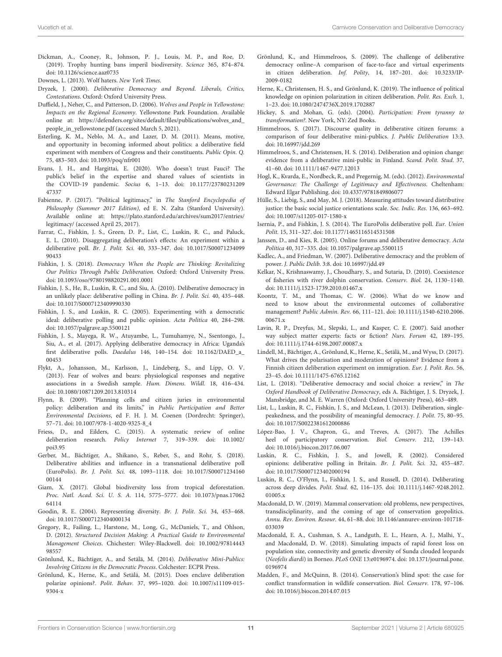- <span id="page-10-10"></span>Dickman, A., Cooney, R., Johnson, P. J., Louis, M. P., and Roe, D. (2019). Trophy hunting bans imperil biodiversity. Science 365, 874–874. doi: [10.1126/science.aaz0735](https://doi.org/10.1126/science.aaz0735)
- <span id="page-10-11"></span>Downes, L. (2013). Wolf haters. New York Times.
- <span id="page-10-3"></span>Dryzek, J. (2000). Deliberative Democracy and Beyond. Liberals, Critics, Contestations. Oxford: Oxford University Press.
- <span id="page-10-9"></span>Duffield, J., Neher, C., and Patterson, D. (2006). Wolves and People in Yellowstone: Impacts on the Regional Economy. Yellowstone Park Foundation. Available online at: [https://defenders.org/sites/default/files/publications/wolves\\_and\\_](https://defenders.org/sites/default/files/publications/wolves_and_people_in_yellowstone.pdf) [people\\_in\\_yellowstone.pdf](https://defenders.org/sites/default/files/publications/wolves_and_people_in_yellowstone.pdf) (accessed March 5, 2021).
- <span id="page-10-21"></span>Esterling, K. M., Neblo, M. A., and Lazer, D. M. (2011). Means, motive, and opportunity in becoming informed about politics: a deliberative field experiment with members of Congress and their constituents. Public Opin. Q. 75, 483–503. doi: [10.1093/poq/nfr001](https://doi.org/10.1093/poq/nfr001)
- <span id="page-10-14"></span>Evans, J. H., and Hargittai, E. (2020). Who doesn't trust Fauci? The public's belief in the expertise and shared values of scientists in the COVID-19 pandemic. Socius [6, 1–13. doi: 10.1177/23780231209](https://doi.org/10.1177/2378023120947337) 47337
- <span id="page-10-40"></span>Fabienne, P. (2017). "Political legitimacy," in The Stanford Encyclopedia of Philosophy (Summer 2017 Edition), ed E. N. Zalta (Stanford University). Available online at: [https://plato.stanford.edu/archives/sum2017/entries/](https://plato.stanford.edu/archives/sum2017/entries/legitimacy/) [legitimacy/](https://plato.stanford.edu/archives/sum2017/entries/legitimacy/) (accessed April 25, 2017).
- <span id="page-10-20"></span>Farrar, C., Fishkin, J. S., Green, D. P., List, C., Luskin, R. C., and Paluck, E. L. (2010). Disaggregating deliberation's effects: An experiment within a deliberative poll. Br. J. Polit. Sci. [40, 333–347. doi: 10.1017/S00071234099](https://doi.org/10.1017/S0007123409990433) 90433
- <span id="page-10-4"></span>Fishkin, J. S. (2018). Democracy When the People are Thinking: Revitalizing Our Politics Through Public Deliberation. Oxford: Oxford University Press. doi: [10.1093/oso/9780198820291.001.0001](https://doi.org/10.1093/oso/9780198820291.001.0001)
- <span id="page-10-25"></span>Fishkin, J. S., He, B., Luskin, R. C., and Siu, A. (2010). Deliberative democracy in an unlikely place: deliberative polling in China. Br. J. Polit. Sci. 40, 435–448. doi: [10.1017/S0007123409990330](https://doi.org/10.1017/S0007123409990330)
- <span id="page-10-26"></span>Fishkin, J. S., and Luskin, R. C. (2005). Experimenting with a democratic ideal: deliberative polling and public opinion. Acta Politica 40, 284–298. doi: [10.1057/palgrave.ap.5500121](https://doi.org/10.1057/palgrave.ap.5500121)
- <span id="page-10-24"></span>Fishkin, J. S., Mayega, R. W., Atuyambe, L., Tumuhamye, N., Ssentongo, J., Siu, A., et al. (2017). Applying deliberative democracy in Africa: Uganda's first deliberative polls. Daedalus [146, 140–154. doi: 10.1162/DAED\\_a\\_](https://doi.org/10.1162/DAED_a_00453) 00453
- <span id="page-10-13"></span>Flykt, A., Johansson, M., Karlsson, J., Lindeberg, S., and Lipp, O. V. (2013). Fear of wolves and bears: physiological responses and negative associations in a Swedish sample. Hum. Dimens. Wildl. 18, 416–434. doi: [10.1080/10871209.2013.810314](https://doi.org/10.1080/10871209.2013.810314)
- <span id="page-10-42"></span>Flynn, B. (2009). "Planning cells and citizen juries in environmental policy: deliberation and its limits," in Public Participation and Better Environmental Decisions, ed F. H. J. M. Coenen (Dordrecht: Springer), 57–71. doi: [10.1007/978-1-4020-9325-8\\_4](https://doi.org/10.1007/978-1-4020-9325-8_4)
- <span id="page-10-30"></span>Friess, D., and Eilders, C. (2015). A systematic review of online deliberation research. Policy Internet [7, 319–339. doi: 10.1002/](https://doi.org/10.1002/poi3.95) poi3.95
- <span id="page-10-17"></span>Gerber, M., Bächtiger, A., Shikano, S., Reber, S., and Rohr, S. (2018). Deliberative abilities and influence in a transnational deliberative poll (EuroPolis). Br. J. Polit. Sci. [48, 1093–1118. doi: 10.1017/S00071234160](https://doi.org/10.1017/S0007123416000144) 00144
- <span id="page-10-6"></span>Giam, X. (2017). Global biodiversity loss from tropical deforestation. Proc. Natl. Acad. Sci. U. S. A. [114, 5775–5777. doi: 10.1073/pnas.17062](https://doi.org/10.1073/pnas.1706264114) 64114
- <span id="page-10-15"></span>Goodin, R. E. (2004). Representing diversity. Br. J. Polit. Sci. 34, 453–468. doi: [10.1017/S0007123404000134](https://doi.org/10.1017/S0007123404000134)
- <span id="page-10-2"></span>Gregory, R., Failing, L., Harstone, M., Long, G., McDaniels, T., and Ohlson, D. (2012). Structured Decision Making: A Practical Guide to Environmental Management Choices[. Chichester: Wiley-Blackwell. doi: 10.1002/97814443](https://doi.org/10.1002/9781444398557) 98557
- <span id="page-10-31"></span>Grönlund, K., Bächtiger, A., and Setälä, M. (2014). Deliberative Mini-Publics: Involving Citizens in the Democratic Process. Colchester: ECPR Press.
- <span id="page-10-18"></span>Grönlund, K., Herne, K., and Setälä, M. (2015). Does enclave deliberation polarize opinions?. Polit. Behav. [37, 995–1020. doi: 10.1007/s11109-015-](https://doi.org/10.1007/s11109-015-9304-x) 9304-x
- <span id="page-10-28"></span>Grönlund, K., and Himmelroos, S. (2009). The challenge of deliberative democracy online–A comparison of face-to-face and virtual experiments in citizen deliberation. Inf. Polity[, 14, 187–201. doi: 10.3233/IP-](https://doi.org/10.3233/IP-2009-0182)2009-0182
- <span id="page-10-19"></span>Herne, K., Christensen, H. S., and Grönlund, K. (2019). The influence of political knowledge on opinion polarization in citizen deliberation. Polit. Res. Exch. 1, 1–23. doi: [10.1080/2474736X.2019.1702887](https://doi.org/10.1080/2474736X.2019.1702887)
- <span id="page-10-33"></span>Hickey, S. and Mohan, G. (eds). (2004). Participation: From tyranny to transformation?. New York, NY: Zed Books.
- <span id="page-10-16"></span>Himmelroos, S. (2017). Discourse quality in deliberative citizen forums: a comparison of four deliberative mini-publics. J. Public Deliberation 13:3. doi: [10.16997/jdd.269](https://doi.org/10.16997/jdd.269)
- <span id="page-10-22"></span>Himmelroos, S., and Christensen, H. S. (2014). Deliberation and opinion change: evidence from a deliberative mini-public in Finland. Scand. Polit. Stud. 37, 41–60. doi: [10.1111/1467-9477.12013](https://doi.org/10.1111/1467-9477.12013)
- <span id="page-10-39"></span>Hogl, K., Kvarda, E., Nordbeck, R., and Pregernig, M. (eds). (2012). Environmental Governance: The Challenge of Legitimacy and Effectiveness. Cheltenham: Edward Elgar Publishing. doi: [10.4337/9781849806077](https://doi.org/10.4337/9781849806077)
- <span id="page-10-35"></span>Hülle, S., Liebig, S., and May, M. J. (2018). Measuring attitudes toward distributive justice: the basic social justice orientations scale. Soc. Indic. Res. 136, 663–692. doi: [10.1007/s11205-017-1580-x](https://doi.org/10.1007/s11205-017-1580-x)
- <span id="page-10-23"></span>Isernia, P., and Fishkin, J. S. (2014). The EuroPolis deliberative poll. Eur. Union Polit. 15, 311–327. doi: [10.1177/1465116514531508](https://doi.org/10.1177/1465116514531508)
- <span id="page-10-29"></span>Janssen, D., and Kies, R. (2005). Online forums and deliberative democracy. Acta Política 40, 317–335. doi: [10.1057/palgrave.ap.5500115](https://doi.org/10.1057/palgrave.ap.5500115)
- <span id="page-10-32"></span>Kadlec, A., and Friedman, W. (2007). Deliberative democracy and the problem of power. J. Public Delib. 3:8. doi: [10.16997/jdd.49](https://doi.org/10.16997/jdd.49)
- <span id="page-10-5"></span>Kelkar, N., Krishnaswamy, J., Choudhary, S., and Sutaria, D. (2010). Coexistence of fisheries with river dolphin conservation. Conserv. Biol. 24, 1130–1140. doi: [10.1111/j.1523-1739.2010.01467.x](https://doi.org/10.1111/j.1523-1739.2010.01467.x)
- <span id="page-10-0"></span>Koontz, T. M., and Thomas, C. W. (2006). What do we know and need to know about the environmental outcomes of collaborative management? Public Admin. Rev. [66, 111–121. doi: 10.1111/j.1540-6210.2006.](https://doi.org/10.1111/j.1540-6210.2006.00671.x) 00671.x
- <span id="page-10-34"></span>Lavin, R. P., Dreyfus, M., Slepski, L., and Kasper, C. E. (2007). Said another way subject matter experts: facts or fiction? Nurs. Forum 42, 189–195. doi: [10.1111/j.1744-6198.2007.00087.x](https://doi.org/10.1111/j.1744-6198.2007.00087.x)
- <span id="page-10-36"></span>Lindell, M., Bächtiger, A., Grönlund, K., Herne, K., Setälä, M., and Wyss, D. (2017). What drives the polarisation and moderation of opinions? Evidence from a Finnish citizen deliberation experiment on immigration. Eur. J. Polit. Res. 56, 23–45. doi: [10.1111/1475-6765.12162](https://doi.org/10.1111/1475-6765.12162)
- <span id="page-10-38"></span>List, L. (2018). "Deliberative democracy and social choice: a review," in The Oxford Handbook of Deliberative Democracy, eds A. Bächtiger, J. S. Dryzek, J. Mansbridge, and M. E. Warren (Oxford: Oxford University Press), 463–489.
- <span id="page-10-37"></span>List, L., Luskin, R. C., Fishkin, J. S., and McLean, I. (2013). Deliberation, singlepeakedness, and the possibility of meaningful democracy. J. Polit. 75, 80–95. doi: [10.1017/S0022381612000886](https://doi.org/10.1017/S0022381612000886)
- <span id="page-10-7"></span>López-Bao, J. V., Chapron, G., and Treves, A. (2017). The Achilles heel of participatory conservation. Biol. Conserv. 212, 139–143. doi: [10.1016/j.biocon.2017.06.007](https://doi.org/10.1016/j.biocon.2017.06.007)
- <span id="page-10-27"></span>Luskin, R. C., Fishkin, J. S., and Jowell, R. (2002). Considered opinions: deliberative polling in Britain. Br. J. Polit. Sci. 32, 455–487. doi: [10.1017/S0007123402000194](https://doi.org/10.1017/S0007123402000194)
- <span id="page-10-41"></span>Luskin, R. C., O'Flynn, I., Fishkin, J. S., and Russell, D. (2014). Deliberating across deep divides. Polit. Stud. [62, 116–135. doi: 10.1111/j.1467-9248.2012.](https://doi.org/10.1111/j.1467-9248.2012.01005.x) 01005.x
- <span id="page-10-8"></span>Macdonald, D. W. (2019). Mammal conservation: old problems, new perspectives, transdisciplinarity, and the coming of age of conservation geopolitics. Annu. Rev. Environ. Resour. [44, 61–88. doi: 10.1146/annurev-environ-101718-](https://doi.org/10.1146/annurev-environ-101718-033039) 033039
- <span id="page-10-12"></span>Macdonald, E. A., Cushman, S. A., Landguth, E. L., Hearn, A. J., Malhi, Y., and Macdonald, D. W. (2018). Simulating impacts of rapid forest loss on population size, connectivity and genetic diversity of Sunda clouded leopards (Neofelis diardi) in Borneo. PLoS ONE [13:e0196974. doi: 10.1371/journal.pone.](https://doi.org/10.1371/journal.pone.0196974) 0196974
- <span id="page-10-1"></span>Madden, F., and McQuinn, B. (2014). Conservation's blind spot: the case for conflict transformation in wildlife conservation. Biol. Conserv. 178, 97–106. doi: [10.1016/j.biocon.2014.07.015](https://doi.org/10.1016/j.biocon.2014.07.015)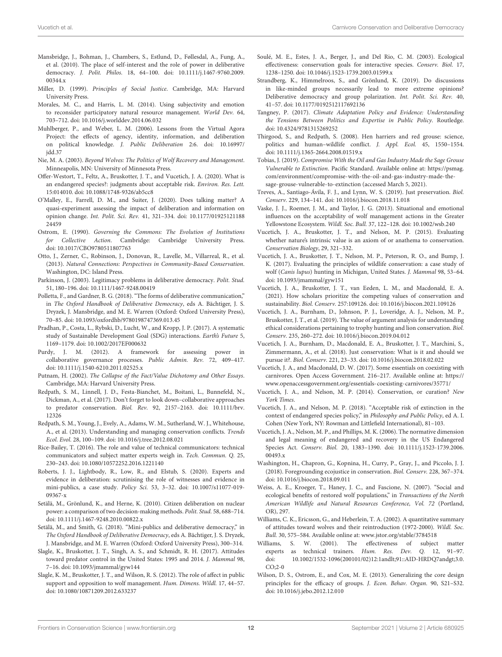- <span id="page-11-27"></span>Mansbridge, J., Bohman, J., Chambers, S., Estlund, D., Føllesdal, A., Fung, A., et al. (2010). The place of self-interest and the role of power in deliberative democracy. J. Polit. Philos. [18, 64–100. doi: 10.1111/j.1467-9760.2009.](https://doi.org/10.1111/j.1467-9760.2009.00344.x) 00344.x
- <span id="page-11-42"></span>Miller, D. (1999). Principles of Social Justice. Cambridge, MA: Harvard University Press.
- <span id="page-11-29"></span>Morales, M. C., and Harris, L. M. (2014). Using subjectivity and emotion to reconsider participatory natural resource management. World Dev. 64, 703–712. doi: [10.1016/j.worlddev.2014.06.032](https://doi.org/10.1016/j.worlddev.2014.06.032)
- <span id="page-11-26"></span>Muhlberger, P., and Weber, L. M. (2006). Lessons from the Virtual Agora Project: the effects of agency, identity, information, and deliberation [on political knowledge.](https://doi.org/10.16997/jdd.37) J. Public Deliberation 2:6. doi: 10.16997/ jdd.37
- <span id="page-11-8"></span>Nie, M. A. (2003). Beyond Wolves: The Politics of Wolf Recovery and Management. Minneapolis, MN: University of Minnesota Press.
- <span id="page-11-35"></span>Offer-Westort, T., Feltz, A., Bruskotter, J. T., and Vucetich, J. A. (2020). What is an endangered species?: judgments about acceptable risk. Environ. Res. Lett. 15:014010. doi: [10.1088/1748-9326/ab5cc8](https://doi.org/10.1088/1748-9326/ab5cc8)
- <span id="page-11-24"></span>O'Malley, E., Farrell, D. M., and Suiter, J. (2020). Does talking matter? A quasi-experiment assessing the impact of deliberation and information on opinion change. Int. Polit. Sci. Rev. [41, 321–334. doi: 10.1177/01925121188](https://doi.org/10.1177/0192512118824459) 24459
- <span id="page-11-6"></span>Ostrom, E. (1990). Governing the Commons: The Evolution of Institutions for Collective Action. Cambridge: Cambridge University Press. doi: [10.1017/CBO9780511807763](https://doi.org/10.1017/CBO9780511807763)
- <span id="page-11-5"></span>Otto, J., Zerner, C., Robinson, J., Donovan, R., Lavelle, M., Villarreal, R., et al. (2013). Natural Connections: Perspectives in Community-Based Conservation. Washington, DC: Island Press.
- <span id="page-11-34"></span>Parkinson, J. (2003). Legitimacy problems in deliberative democracy. Polit. Stud. 51, 180–196. doi: [10.1111/1467-9248.00419](https://doi.org/10.1111/1467-9248.00419)
- <span id="page-11-18"></span>Polletta, F., and Gardner, B. G. (2018). "The forms of deliberative communication," in The Oxford Handbook of Deliberative Democracy, eds A. Bächtiger, J. S. Dryzek, J. Mansbridge, and M. E. Warren (Oxford: Oxford University Press), 70–85. doi: [10.1093/oxfordhb/9780198747369.013.45](https://doi.org/10.1093/oxfordhb/9780198747369.013.45)
- <span id="page-11-23"></span>Pradhan, P., Costa, L., Rybski, D., Lucht, W., and Kropp, J. P. (2017). A systematic study of Sustainable Development Goal (SDG) interactions. Earth's Future 5, 1169–1179. doi: [10.1002/2017EF000632](https://doi.org/10.1002/2017EF000632)
- <span id="page-11-28"></span>Purdy, J. M. (2012). A framework for assessing power in collaborative governance processes. Public Admin. Rev. 72, 409–417. doi: [10.1111/j.1540-6210.2011.02525.x](https://doi.org/10.1111/j.1540-6210.2011.02525.x)
- <span id="page-11-25"></span>Putnam, H. (2002). The Collapse of the Fact/Value Dichotomy and Other Essays. Cambridge, MA: Harvard University Press.
- <span id="page-11-0"></span>Redpath, S. M., Linnell, J. D., Festa-Bianchet, M., Boitani, L., Bunnefeld, N., Dickman, A., et al. (2017). Don't forget to look down–collaborative approaches to predator conservation. Biol. Rev. [92, 2157–2163. doi: 10.1111/brv.](https://doi.org/10.1111/brv.12326) 12326
- <span id="page-11-22"></span>Redpath, S. M., Young, J., Evely, A., Adams, W. M., Sutherland, W. J., Whitehouse, A., et al. (2013). Understanding and managing conservation conflicts. Trends Ecol. Evol. 28, 100–109. doi: [10.1016/j.tree.2012.08.021](https://doi.org/10.1016/j.tree.2012.08.021)
- <span id="page-11-32"></span>Rice-Bailey, T. (2016). The role and value of technical communicators: technical communicators and subject matter experts weigh in. Tech. Commun. Q. 25, 230–243. doi: [10.1080/10572252.2016.1221140](https://doi.org/10.1080/10572252.2016.1221140)
- <span id="page-11-30"></span>Roberts, J. J., Lightbody, R., Low, R., and Elstub, S. (2020). Experts and evidence in deliberation: scrutinising the role of witnesses and evidence in mini-publics, a case study. Policy Sci. [53, 3–32. doi: 10.1007/s11077-019-](https://doi.org/10.1007/s11077-019-09367-x) 09367-x
- <span id="page-11-20"></span>Setälä, M., Grönlund, K., and Herne, K. (2010). Citizen deliberation on nuclear power: a comparison of two decision-making methods. Polit. Stud. 58, 688–714. doi: [10.1111/j.1467-9248.2010.00822.x](https://doi.org/10.1111/j.1467-9248.2010.00822.x)
- <span id="page-11-17"></span>Setälä, M., and Smith, G. (2018). "Mini-publics and deliberative democracy," in The Oxford Handbook of Deliberative Democracy, eds A. Bächtiger, J. S. Dryzek, J. Mansbridge, and M. E. Warren (Oxford: Oxford University Press), 300–314.
- <span id="page-11-39"></span>Slagle, K., Bruskotter, J. T., Singh, A. S., and Schmidt, R. H. (2017). Attitudes toward predator control in the United States: 1995 and 2014. J. Mammal 98, 7–16. doi: [10.1093/jmammal/gyw144](https://doi.org/10.1093/jmammal/gyw144)
- <span id="page-11-16"></span>Slagle, K. M., Bruskotter, J. T., and Wilson, R. S. (2012). The role of affect in public support and opposition to wolf management. Hum. Dimens. Wildl. 17, 44–57. doi: [10.1080/10871209.2012.633237](https://doi.org/10.1080/10871209.2012.633237)
- <span id="page-11-2"></span>Soulé, M. E., Estes, J. A., Berger, J., and Del Rio, C. M. (2003). Ecological effectiveness: conservation goals for interactive species. Conserv. Biol. 17, 1238–1250. doi: [10.1046/j.1523-1739.2003.01599.x](https://doi.org/10.1046/j.1523-1739.2003.01599.x)
- <span id="page-11-19"></span>Strandberg, K., Himmelroos, S., and Grönlund, K. (2019). Do discussions in like-minded groups necessarily lead to more extreme opinions? Deliberative democracy and group polarization. Int. Polit. Sci. Rev. 40, 41–57. doi: [10.1177/0192512117692136](https://doi.org/10.1177/0192512117692136)
- <span id="page-11-33"></span>Tangney, P. (2017). Climate Adaptation Policy and Evidence: Understanding the Tensions Between Politics and Expertise in Public Policy. Routledge. doi: [10.4324/9781315269252](https://doi.org/10.4324/9781315269252)
- <span id="page-11-9"></span>Thirgood, S., and Redpath, S. (2008). Hen harriers and red grouse: science, politics and human–wildlife conflict. J. Appl. Ecol. 45, 1550–1554. doi: [10.1111/j.1365-2664.2008.01519.x](https://doi.org/10.1111/j.1365-2664.2008.01519.x)
- <span id="page-11-10"></span>Tobias, J. (2019). Compromise With the Oil and Gas Industry Made the Sage Grouse Vulnerable to Extinction. Pacific Standard. Available online at: [https://psmag.](https://psmag.com/environment/compromise-with-the-oil-and-gas-industry-made-the-sage-grouse-vulnerable-to-extinction) [com/environment/compromise-with-the-oil-and-gas-industry-made-the](https://psmag.com/environment/compromise-with-the-oil-and-gas-industry-made-the-sage-grouse-vulnerable-to-extinction)[sage-grouse-vulnerable-to-extinction](https://psmag.com/environment/compromise-with-the-oil-and-gas-industry-made-the-sage-grouse-vulnerable-to-extinction) (accessed March 5, 2021).
- <span id="page-11-41"></span>Treves, A., Santiago-Ávila, F. J., and Lynn, W. S. (2019). Just preservation. Biol. Conserv. 229, 134–141. doi: [10.1016/j.biocon.2018.11.018](https://doi.org/10.1016/j.biocon.2018.11.018)
- <span id="page-11-38"></span>Vaske, J. J., Roemer, J. M., and Taylor, J. G. (2013). Situational and emotional influences on the acceptability of wolf management actions in the Greater Yellowstone Ecosystem. Wildl. Soc. Bull. 37, 122–128. doi: [10.1002/wsb.240](https://doi.org/10.1002/wsb.240)
- <span id="page-11-11"></span>Vucetich, J. A., Bruskotter, J. T., and Nelson, M. P. (2015). Evaluating whether nature's intrinsic value is an axiom of or anathema to conservation. Conservation Biology, 29, 321–332.
- <span id="page-11-13"></span>Vucetich, J. A., Bruskotter, J. T., Nelson, M. P., Peterson, R. O., and Bump, J. K. (2017). Evaluating the principles of wildlife conservation: a case study of wolf (Canis lupus) hunting in Michigan, United States. J. Mammal 98, 53–64. doi: [10.1093/jmammal/gyw151](https://doi.org/10.1093/jmammal/gyw151)
- <span id="page-11-1"></span>Vucetich, J. A., Bruskotter, J. T., van Eeden, L. M., and Macdonald, E. A. (2021). How scholars prioritize the competing values of conservation and sustainability. Biol. Conserv. 257:109126. doi: [10.1016/j.biocon.2021.109126](https://doi.org/10.1016/j.biocon.2021.109126)
- <span id="page-11-14"></span>Vucetich, J. A., Burnham, D., Johnson, P. J., Loveridge, A. J., Nelson, M. P., Bruskotter, J. T., et al. (2019). The value of argument analysis for understanding ethical considerations pertaining to trophy hunting and lion conservation. Biol. Conserv. 235, 260–272. doi: [10.1016/j.biocon.2019.04.012](https://doi.org/10.1016/j.biocon.2019.04.012)
- <span id="page-11-4"></span>Vucetich, J. A., Burnham, D., Macdonald, E. A., Bruskotter, J. T., Marchini, S., Zimmermann, A., et al. (2018). Just conservation: What is it and should we pursue it?. Biol. Conserv. 221, 23–33. doi: [10.1016/j.biocon.2018.02.022](https://doi.org/10.1016/j.biocon.2018.02.022)
- <span id="page-11-15"></span>Vucetich, J. A., and Macdonald, D. W. (2017). Some essentials on coexisting with carnivores. Open Access Government. 216–217. Available online at: [https://](https://www.openaccessgovernment.org/essentials-coexisting-carnivores/35771/) [www.openaccessgovernment.org/essentials-coexisting-carnivores/35771/](https://www.openaccessgovernment.org/essentials-coexisting-carnivores/35771/)
- <span id="page-11-36"></span>Vucetich, J. A., and Nelson, M. P. (2014). Conservation, or curation? New York Times.
- <span id="page-11-21"></span>Vucetich, J. A., and Nelson, M. P. (2018). "Acceptable risk of extinction in the context of endangered species policy," in Philosophy and Public Policy, ed A. I. Cohen (New York, NY: Rowman and Littlefield International), 81–103.
- <span id="page-11-3"></span>Vucetich, J. A., Nelson, M. P., and Phillips, M. K. (2006). The normative dimension and legal meaning of endangered and recovery in the US Endangered Species Act. Conserv. Biol. [20, 1383–1390. doi: 10.1111/j.1523-1739.2006.](https://doi.org/10.1111/j.1523-1739.2006.00493.x) 00493.x
- <span id="page-11-40"></span>Washington, H., Chapron, G., Kopnina, H., Curry, P., Gray, J., and Piccolo, J. J. (2018). Foregrounding ecojustice in conservation. Biol. Conserv. 228, 367–374. doi: [10.1016/j.biocon.2018.09.011](https://doi.org/10.1016/j.biocon.2018.09.011)
- <span id="page-11-12"></span>Weiss, A. E., Kroeger, T., Haney, J. C., and Fascione, N. (2007). "Social and ecological benefits of restored wolf populations," in Transactions of the North American Wildlife and Natural Resources Conference, Vol. 72 (Portland, OR), 297.
- <span id="page-11-37"></span>Williams, C. K., Ericsson, G., and Heberlein, T. A. (2002). A quantitative summary of attitudes toward wolves and their reintroduction (1972-2000). Wildl. Soc. Bull. 30, 575–584. Available online at:<www.jstor.org/stable/3784518>
- <span id="page-11-31"></span>Williams, S. W. (2001). The effectiveness of subject matter experts as technical trainers. Hum. Res. Dev. Q. 12, 91–97. [doi: 10.1002/1532-1096\(200101/02\)12:1andlt;91::AID-HRDQ7andgt;3.0.](https://doi.org/10.1002/1532-1096(200101/02)12:1andlt;91::AID-HRDQ7andgt;3.0.CO;2-0)  $CO:2-0$
- <span id="page-11-7"></span>Wilson, D. S., Ostrom, E., and Cox, M. E. (2013). Generalizing the core design principles for the efficacy of groups. J. Econ. Behav. Organ. 90, S21–S32. doi: [10.1016/j.jebo.2012.12.010](https://doi.org/10.1016/j.jebo.2012.12.010)